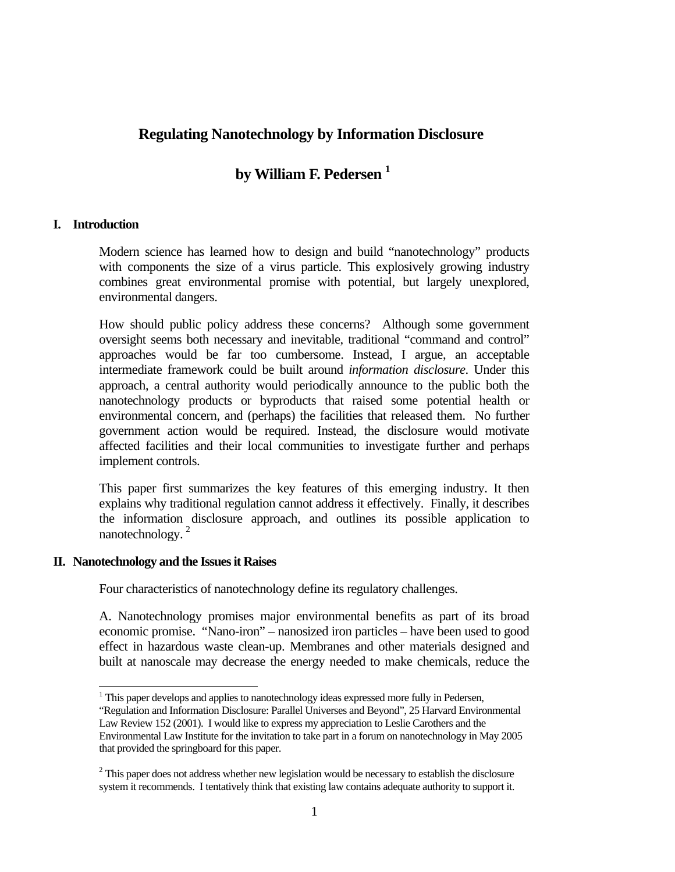## **Regulating Nanotechnology by Information Disclosure**

# **by William F. Pedersen 1**

### **I. Introduction**

Modern science has learned how to design and build "nanotechnology" products with components the size of a virus particle. This explosively growing industry combines great environmental promise with potential, but largely unexplored, environmental dangers.

How should public policy address these concerns? Although some government oversight seems both necessary and inevitable, traditional "command and control" approaches would be far too cumbersome. Instead, I argue, an acceptable intermediate framework could be built around *information disclosure*. Under this approach, a central authority would periodically announce to the public both the nanotechnology products or byproducts that raised some potential health or environmental concern, and (perhaps) the facilities that released them. No further government action would be required. Instead, the disclosure would motivate affected facilities and their local communities to investigate further and perhaps implement controls.

This paper first summarizes the key features of this emerging industry. It then explains why traditional regulation cannot address it effectively. Finally, it describes the information disclosure approach, and outlines its possible application to nanotechnology.<sup>2</sup>

### **II. Nanotechnology and the Issues it Raises**

l

Four characteristics of nanotechnology define its regulatory challenges.

A. Nanotechnology promises major environmental benefits as part of its broad economic promise. "Nano-iron" – nanosized iron particles – have been used to good effect in hazardous waste clean-up. Membranes and other materials designed and built at nanoscale may decrease the energy needed to make chemicals, reduce the

 $1$ <sup>1</sup> This paper develops and applies to nanotechnology ideas expressed more fully in Pedersen,

<sup>&</sup>quot;Regulation and Information Disclosure: Parallel Universes and Beyond", 25 Harvard Environmental Law Review 152 (2001). I would like to express my appreciation to Leslie Carothers and the Environmental Law Institute for the invitation to take part in a forum on nanotechnology in May 2005 that provided the springboard for this paper.

 $2^2$  This paper does not address whether new legislation would be necessary to establish the disclosure system it recommends. I tentatively think that existing law contains adequate authority to support it.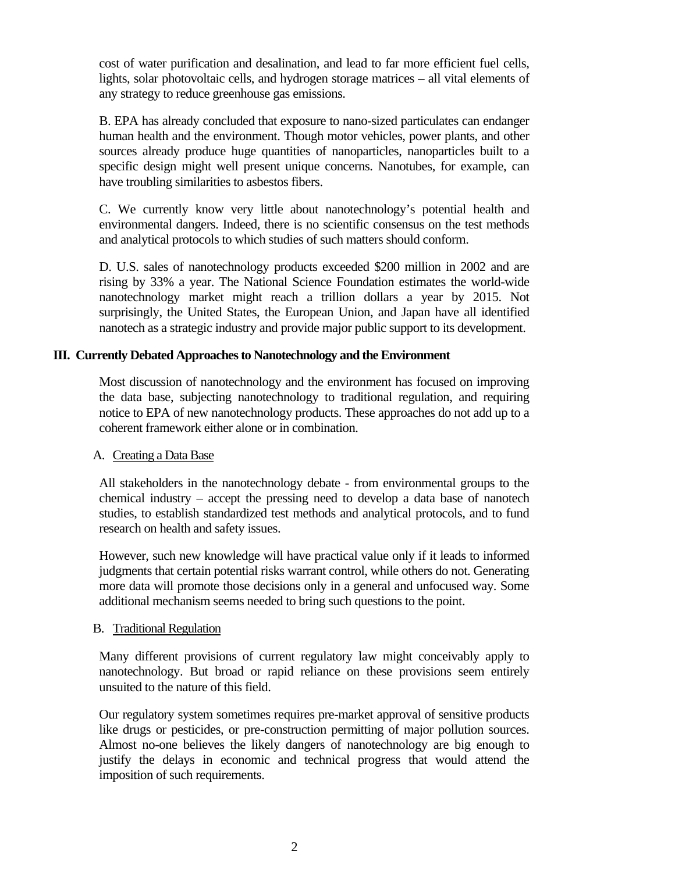cost of water purification and desalination, and lead to far more efficient fuel cells, lights, solar photovoltaic cells, and hydrogen storage matrices – all vital elements of any strategy to reduce greenhouse gas emissions.

B. EPA has already concluded that exposure to nano-sized particulates can endanger human health and the environment. Though motor vehicles, power plants, and other sources already produce huge quantities of nanoparticles, nanoparticles built to a specific design might well present unique concerns. Nanotubes, for example, can have troubling similarities to asbestos fibers.

C. We currently know very little about nanotechnology's potential health and environmental dangers. Indeed, there is no scientific consensus on the test methods and analytical protocols to which studies of such matters should conform.

D. U.S. sales of nanotechnology products exceeded \$200 million in 2002 and are rising by 33% a year. The National Science Foundation estimates the world-wide nanotechnology market might reach a trillion dollars a year by 2015. Not surprisingly, the United States, the European Union, and Japan have all identified nanotech as a strategic industry and provide major public support to its development.

## **III. Currently Debated Approaches to Nanotechnology and the Environment**

Most discussion of nanotechnology and the environment has focused on improving the data base, subjecting nanotechnology to traditional regulation, and requiring notice to EPA of new nanotechnology products. These approaches do not add up to a coherent framework either alone or in combination.

### A. Creating a Data Base

All stakeholders in the nanotechnology debate - from environmental groups to the chemical industry – accept the pressing need to develop a data base of nanotech studies, to establish standardized test methods and analytical protocols, and to fund research on health and safety issues.

However, such new knowledge will have practical value only if it leads to informed judgments that certain potential risks warrant control, while others do not. Generating more data will promote those decisions only in a general and unfocused way. Some additional mechanism seems needed to bring such questions to the point.

### B. Traditional Regulation

Many different provisions of current regulatory law might conceivably apply to nanotechnology. But broad or rapid reliance on these provisions seem entirely unsuited to the nature of this field.

Our regulatory system sometimes requires pre-market approval of sensitive products like drugs or pesticides, or pre-construction permitting of major pollution sources. Almost no-one believes the likely dangers of nanotechnology are big enough to justify the delays in economic and technical progress that would attend the imposition of such requirements.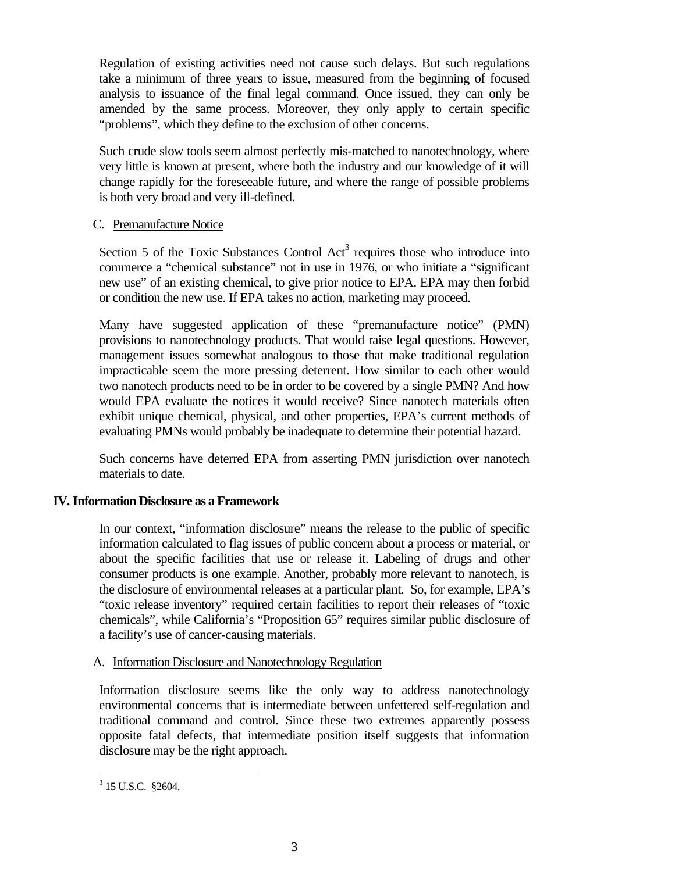Regulation of existing activities need not cause such delays. But such regulations take a minimum of three years to issue, measured from the beginning of focused analysis to issuance of the final legal command. Once issued, they can only be amended by the same process. Moreover, they only apply to certain specific "problems", which they define to the exclusion of other concerns.

Such crude slow tools seem almost perfectly mis-matched to nanotechnology, where very little is known at present, where both the industry and our knowledge of it will change rapidly for the foreseeable future, and where the range of possible problems is both very broad and very ill-defined.

### C. Premanufacture Notice

Section 5 of the Toxic Substances Control  $Act<sup>3</sup>$  requires those who introduce into commerce a "chemical substance" not in use in 1976, or who initiate a "significant new use" of an existing chemical, to give prior notice to EPA. EPA may then forbid or condition the new use. If EPA takes no action, marketing may proceed.

Many have suggested application of these "premanufacture notice" (PMN) provisions to nanotechnology products. That would raise legal questions. However, management issues somewhat analogous to those that make traditional regulation impracticable seem the more pressing deterrent. How similar to each other would two nanotech products need to be in order to be covered by a single PMN? And how would EPA evaluate the notices it would receive? Since nanotech materials often exhibit unique chemical, physical, and other properties, EPA's current methods of evaluating PMNs would probably be inadequate to determine their potential hazard.

Such concerns have deterred EPA from asserting PMN jurisdiction over nanotech materials to date.

### **IV. Information Disclosure as a Framework**

In our context, "information disclosure" means the release to the public of specific information calculated to flag issues of public concern about a process or material, or about the specific facilities that use or release it. Labeling of drugs and other consumer products is one example. Another, probably more relevant to nanotech, is the disclosure of environmental releases at a particular plant. So, for example, EPA's "toxic release inventory" required certain facilities to report their releases of "toxic chemicals", while California's "Proposition 65" requires similar public disclosure of a facility's use of cancer-causing materials.

### A. Information Disclosure and Nanotechnology Regulation

Information disclosure seems like the only way to address nanotechnology environmental concerns that is intermediate between unfettered self-regulation and traditional command and control. Since these two extremes apparently possess opposite fatal defects, that intermediate position itself suggests that information disclosure may be the right approach.

<sup>&</sup>lt;sup>3</sup> 15 U.S.C. §2604.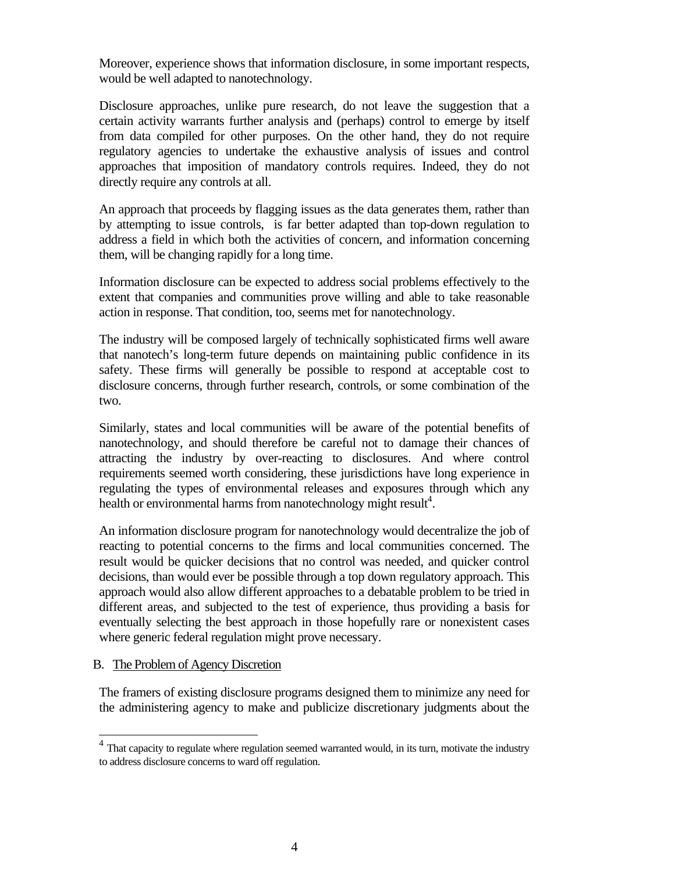Moreover, experience shows that information disclosure, in some important respects, would be well adapted to nanotechnology.

Disclosure approaches, unlike pure research, do not leave the suggestion that a certain activity warrants further analysis and (perhaps) control to emerge by itself from data compiled for other purposes. On the other hand, they do not require regulatory agencies to undertake the exhaustive analysis of issues and control approaches that imposition of mandatory controls requires. Indeed, they do not directly require any controls at all.

An approach that proceeds by flagging issues as the data generates them, rather than by attempting to issue controls, is far better adapted than top-down regulation to address a field in which both the activities of concern, and information concerning them, will be changing rapidly for a long time.

Information disclosure can be expected to address social problems effectively to the extent that companies and communities prove willing and able to take reasonable action in response. That condition, too, seems met for nanotechnology.

The industry will be composed largely of technically sophisticated firms well aware that nanotech's long-term future depends on maintaining public confidence in its safety. These firms will generally be possible to respond at acceptable cost to disclosure concerns, through further research, controls, or some combination of the two.

Similarly, states and local communities will be aware of the potential benefits of nanotechnology, and should therefore be careful not to damage their chances of attracting the industry by over-reacting to disclosures. And where control requirements seemed worth considering, these jurisdictions have long experience in regulating the types of environmental releases and exposures through which any health or environmental harms from nanotechnology might result<sup>4</sup>.

An information disclosure program for nanotechnology would decentralize the job of reacting to potential concerns to the firms and local communities concerned. The result would be quicker decisions that no control was needed, and quicker control decisions, than would ever be possible through a top down regulatory approach. This approach would also allow different approaches to a debatable problem to be tried in different areas, and subjected to the test of experience, thus providing a basis for eventually selecting the best approach in those hopefully rare or nonexistent cases where generic federal regulation might prove necessary.

#### B. The Problem of Agency Discretion

l

The framers of existing disclosure programs designed them to minimize any need for the administering agency to make and publicize discretionary judgments about the

 $<sup>4</sup>$  That capacity to regulate where regulation seemed warranted would, in its turn, motivate the industry</sup> to address disclosure concerns to ward off regulation.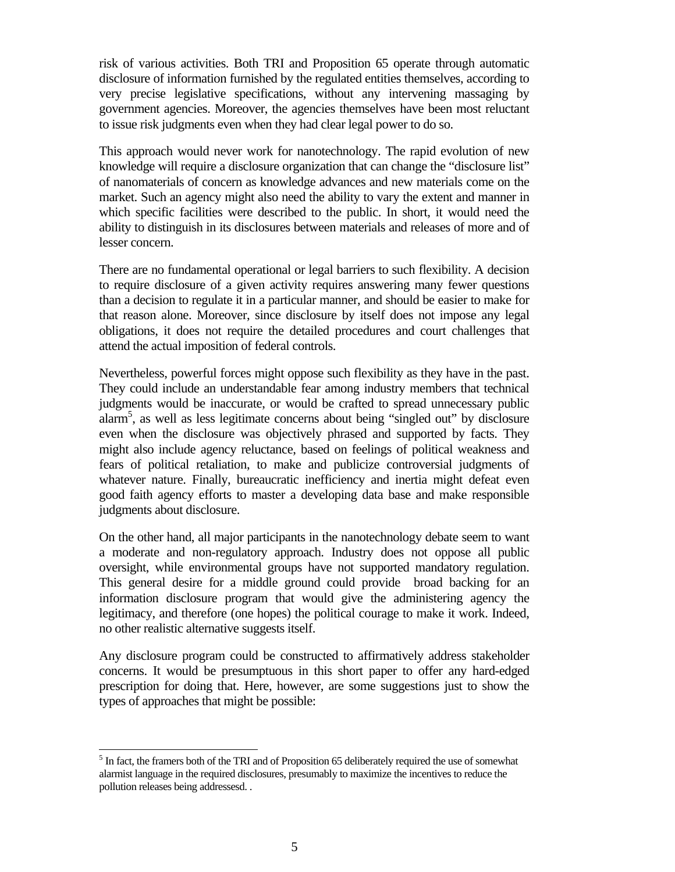risk of various activities. Both TRI and Proposition 65 operate through automatic disclosure of information furnished by the regulated entities themselves, according to very precise legislative specifications, without any intervening massaging by government agencies. Moreover, the agencies themselves have been most reluctant to issue risk judgments even when they had clear legal power to do so.

This approach would never work for nanotechnology. The rapid evolution of new knowledge will require a disclosure organization that can change the "disclosure list" of nanomaterials of concern as knowledge advances and new materials come on the market. Such an agency might also need the ability to vary the extent and manner in which specific facilities were described to the public. In short, it would need the ability to distinguish in its disclosures between materials and releases of more and of lesser concern.

There are no fundamental operational or legal barriers to such flexibility. A decision to require disclosure of a given activity requires answering many fewer questions than a decision to regulate it in a particular manner, and should be easier to make for that reason alone. Moreover, since disclosure by itself does not impose any legal obligations, it does not require the detailed procedures and court challenges that attend the actual imposition of federal controls.

Nevertheless, powerful forces might oppose such flexibility as they have in the past. They could include an understandable fear among industry members that technical judgments would be inaccurate, or would be crafted to spread unnecessary public alarm5 , as well as less legitimate concerns about being "singled out" by disclosure even when the disclosure was objectively phrased and supported by facts. They might also include agency reluctance, based on feelings of political weakness and fears of political retaliation, to make and publicize controversial judgments of whatever nature. Finally, bureaucratic inefficiency and inertia might defeat even good faith agency efforts to master a developing data base and make responsible judgments about disclosure.

On the other hand, all major participants in the nanotechnology debate seem to want a moderate and non-regulatory approach. Industry does not oppose all public oversight, while environmental groups have not supported mandatory regulation. This general desire for a middle ground could provide broad backing for an information disclosure program that would give the administering agency the legitimacy, and therefore (one hopes) the political courage to make it work. Indeed, no other realistic alternative suggests itself.

Any disclosure program could be constructed to affirmatively address stakeholder concerns. It would be presumptuous in this short paper to offer any hard-edged prescription for doing that. Here, however, are some suggestions just to show the types of approaches that might be possible:

<sup>&</sup>lt;sup>5</sup> In fact, the framers both of the TRI and of Proposition 65 deliberately required the use of somewhat alarmist language in the required disclosures, presumably to maximize the incentives to reduce the pollution releases being addressesd. .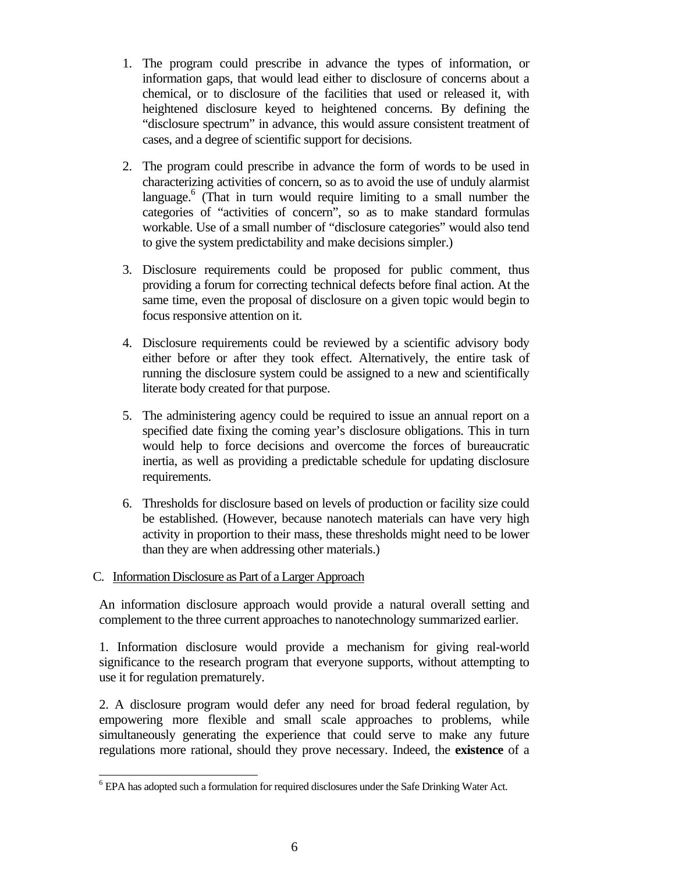- 1. The program could prescribe in advance the types of information, or information gaps, that would lead either to disclosure of concerns about a chemical, or to disclosure of the facilities that used or released it, with heightened disclosure keyed to heightened concerns. By defining the "disclosure spectrum" in advance, this would assure consistent treatment of cases, and a degree of scientific support for decisions.
- 2. The program could prescribe in advance the form of words to be used in characterizing activities of concern, so as to avoid the use of unduly alarmist language.<sup>6</sup> (That in turn would require limiting to a small number the categories of "activities of concern", so as to make standard formulas workable. Use of a small number of "disclosure categories" would also tend to give the system predictability and make decisions simpler.)
- 3. Disclosure requirements could be proposed for public comment, thus providing a forum for correcting technical defects before final action. At the same time, even the proposal of disclosure on a given topic would begin to focus responsive attention on it.
- 4. Disclosure requirements could be reviewed by a scientific advisory body either before or after they took effect. Alternatively, the entire task of running the disclosure system could be assigned to a new and scientifically literate body created for that purpose.
- 5. The administering agency could be required to issue an annual report on a specified date fixing the coming year's disclosure obligations. This in turn would help to force decisions and overcome the forces of bureaucratic inertia, as well as providing a predictable schedule for updating disclosure requirements.
- 6. Thresholds for disclosure based on levels of production or facility size could be established. (However, because nanotech materials can have very high activity in proportion to their mass, these thresholds might need to be lower than they are when addressing other materials.)

### C. Information Disclosure as Part of a Larger Approach

l

An information disclosure approach would provide a natural overall setting and complement to the three current approaches to nanotechnology summarized earlier.

1. Information disclosure would provide a mechanism for giving real-world significance to the research program that everyone supports, without attempting to use it for regulation prematurely.

2. A disclosure program would defer any need for broad federal regulation, by empowering more flexible and small scale approaches to problems, while simultaneously generating the experience that could serve to make any future regulations more rational, should they prove necessary. Indeed, the **existence** of a

<sup>&</sup>lt;sup>6</sup> EPA has adopted such a formulation for required disclosures under the Safe Drinking Water Act.